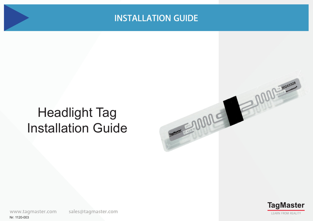TOMORROW SOUTH SOUTH OF THE TANK

# Headlight Tag Installation Guide



MON 30243328

sales@tagmaster.com www.tagmaster.com Nr: 1120-003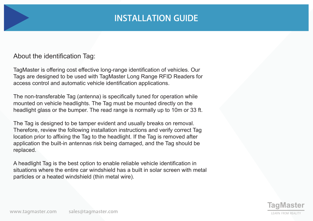#### About the identification Tag:

TagMaster is offering cost effective long-range identification of vehicles. Our Tags are designed to be used with TagMaster Long Range RFID Readers for access control and automatic vehicle identification applications.

The non-transferable Tag (antenna) is specifically tuned for operation while mounted on vehicle headlights. The Tag must be mounted directly on the headlight glass or the bumper. The read range is normally up to 10m or 33 ft.

The Tag is designed to be tamper evident and usually breaks on removal. Therefore, review the following installation instructions and verify correct Tag location prior to affixing the Tag to the headlight. If the Tag is removed after application the built-in antennas risk being damaged, and the Tag should be replaced.

A headlight Tag is the best option to enable reliable vehicle identification in situations where the entire car windshield has a built in solar screen with metal particles or a heated windshield (thin metal wire).

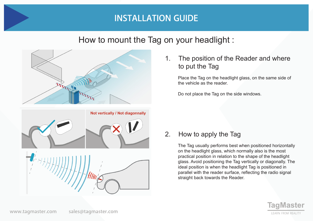### How to mount the Tag on your headlight :





1. The position of the Reader and where to put the Tag

Place the Tag on the headlight glass, on the same side of the vehicle as the reader.

Do not place the Tag on the side windows.

2. How to apply the Tag

The Tag usually performs best when positioned horizontally on the headlight glass, which normally also is the most practical position in relation to the shape of the headlight glass. Avoid positioning the Tag vertically or diagonally. The ideal position is when the headlight Tag is positioned in parallel with the reader surface, reflecting the radio signal straight back towards the Reader.

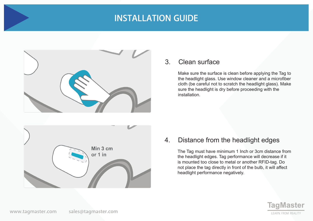

#### 3. Clean surface

Make sure the surface is clean before applying the Tag to the headlight glass. Use window cleaner and a microfiber cloth (be careful not to scratch the headlight glass). Make sure the headlight is dry before proceeding with the installation.



#### 4. Distance from the headlight edges

The Tag must have minimum 1 Inch or 3cm distance from the headlight edges. Tag performance will decrease if it is mounted too close to metal or another RFID-tag. Do not place the tag directly in front of the bulb, it will affect headlight performance negatively.

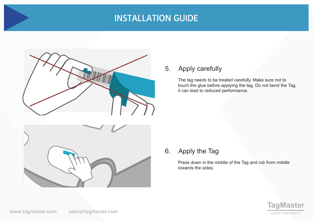

### 5. Apply carefully

The tag needs to be treated carefully. Make sure not to touch the glue before applying the tag. Do not bend the Tag, it can lead to reduced performance.



### 6. Apply the Tag

Press down in the middle of the Tag and rub from middle towards the sides.